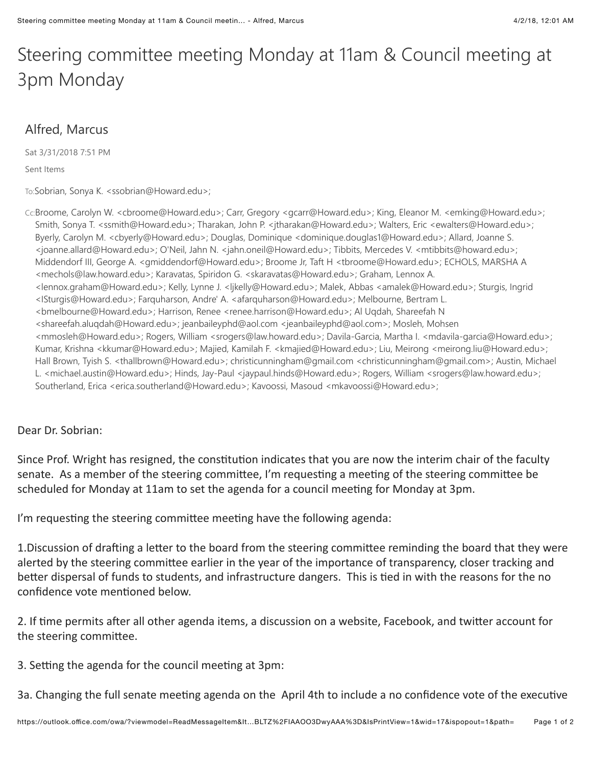## Steering committee meeting Monday at 11am & Council meeting at 3pm Monday

## Alfred, Marcus

Sat 3/31/2018 7:51 PM

Sent Items

To:Sobrian, Sonya K. <ssobrian@Howard.edu>;

Cc:Broome, Carolyn W. <cbroome@Howard.edu>; Carr, Gregory <gcarr@Howard.edu>; King, Eleanor M. <emking@Howard.edu>; Smith, Sonya T. <ssmith@Howard.edu>; Tharakan, John P. <jtharakan@Howard.edu>; Walters, Eric <ewalters@Howard.edu>; Byerly, Carolyn M. <cbyerly@Howard.edu>; Douglas, Dominique <dominique.douglas1@Howard.edu>; Allard, Joanne S. <joanne.allard@Howard.edu>; O'Neil, Jahn N. <jahn.oneil@Howard.edu>; Tibbits, Mercedes V. <mtibbits@howard.edu>; Middendorf III, George A. <gmiddendorf@Howard.edu>; Broome Jr, Taft H <tbroome@Howard.edu>; ECHOLS, MARSHA A <mechols@law.howard.edu>; Karavatas, Spiridon G. <skaravatas@Howard.edu>; Graham, Lennox A. <lennox.graham@Howard.edu>; Kelly, Lynne J. <ljkelly@Howard.edu>; Malek, Abbas <amalek@Howard.edu>; Sturgis, Ingrid <ISturgis@Howard.edu>; Farquharson, Andre' A. <afarquharson@Howard.edu>; Melbourne, Bertram L. <bmelbourne@Howard.edu>; Harrison, Renee <renee.harrison@Howard.edu>; Al Uqdah, Shareefah N <shareefah.aluqdah@Howard.edu>; jeanbaileyphd@aol.com <jeanbaileyphd@aol.com>; Mosleh, Mohsen <mmosleh@Howard.edu>; Rogers, William <srogers@law.howard.edu>; Davila-Garcia, Martha I. <mdavila-garcia@Howard.edu>; Kumar, Krishna <kkumar@Howard.edu>; Majied, Kamilah F. <kmajied@Howard.edu>; Liu, Meirong <meirong.liu@Howard.edu>; Hall Brown, Tyish S. <thallbrown@Howard.edu>; christicunningham@gmail.com <christicunningham@gmail.com>; Austin, Michael L. <michael.austin@Howard.edu>; Hinds, Jay-Paul <jaypaul.hinds@Howard.edu>; Rogers, William <srogers@law.howard.edu>; Southerland, Erica <erica.southerland@Howard.edu>; Kavoossi, Masoud <mkavoossi@Howard.edu>;

## Dear Dr. Sobrian:

Since Prof. Wright has resigned, the constitution indicates that you are now the interim chair of the faculty senate. As a member of the steering committee, I'm requesting a meeting of the steering committee be scheduled for Monday at 11am to set the agenda for a council meeting for Monday at 3pm.

I'm requesting the steering committee meeting have the following agenda:

1. Discussion of drafting a letter to the board from the steering committee reminding the board that they were alerted by the steering committee earlier in the year of the importance of transparency, closer tracking and better dispersal of funds to students, and infrastructure dangers. This is tied in with the reasons for the no confidence vote mentioned below.

2. If time permits after all other agenda items, a discussion on a website, Facebook, and twitter account for the steering committee.

3. Setting the agenda for the council meeting at 3pm:

3a. Changing the full senate meeting agenda on the April 4th to include a no confidence vote of the executive